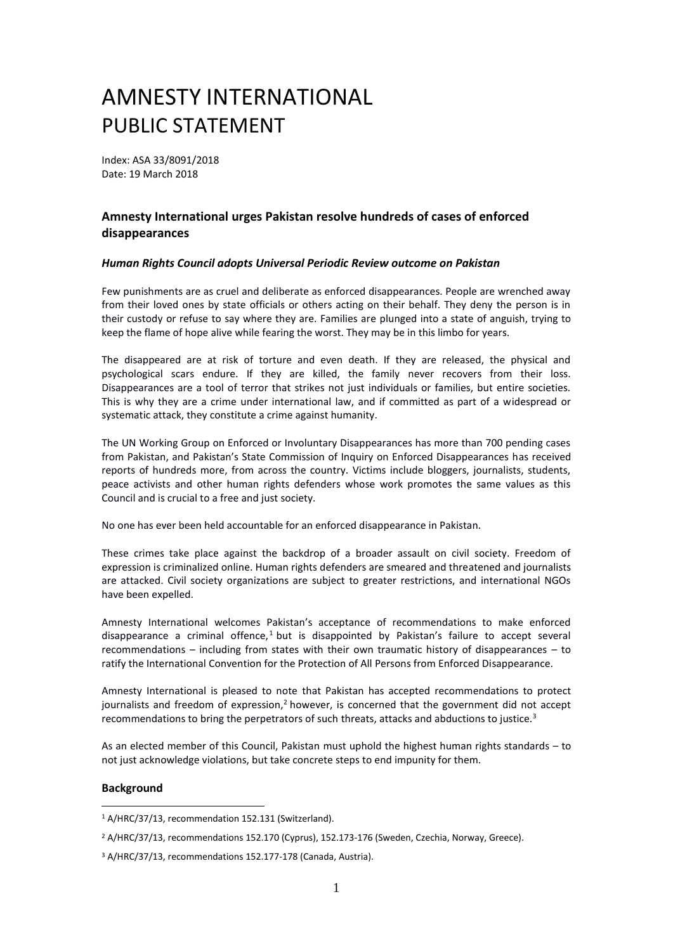## AMNESTY INTERNATIONAL PUBLIC STATEMENT

Index: ASA 33/8091/2018 Date: 19 March 2018

## **Amnesty International urges Pakistan resolve hundreds of cases of enforced disappearances**

## *Human Rights Council adopts Universal Periodic Review outcome on Pakistan*

Few punishments are as cruel and deliberate as enforced disappearances. People are wrenched away from their loved ones by state officials or others acting on their behalf. They deny the person is in their custody or refuse to say where they are. Families are plunged into a state of anguish, trying to keep the flame of hope alive while fearing the worst. They may be in this limbo for years.

The disappeared are at risk of torture and even death. If they are released, the physical and psychological scars endure. If they are killed, the family never recovers from their loss. Disappearances are a tool of terror that strikes not just individuals or families, but entire societies. This is why they are a crime under international law, and if committed as part of a widespread or systematic attack, they constitute a crime against humanity.

The UN Working Group on Enforced or Involuntary Disappearances has more than 700 pending cases from Pakistan, and Pakistan's State Commission of Inquiry on Enforced Disappearances has received reports of hundreds more, from across the country. Victims include bloggers, journalists, students, peace activists and other human rights defenders whose work promotes the same values as this Council and is crucial to a free and just society.

No one has ever been held accountable for an enforced disappearance in Pakistan.

These crimes take place against the backdrop of a broader assault on civil society. Freedom of expression is criminalized online. Human rights defenders are smeared and threatened and journalists are attacked. Civil society organizations are subject to greater restrictions, and international NGOs have been expelled.

Amnesty International welcomes Pakistan's acceptance of recommendations to make enforced disappearance a criminal offence,<sup>1</sup> but is disappointed by Pakistan's failure to accept several recommendations – including from states with their own traumatic history of disappearances – to ratify the International Convention for the Protection of All Persons from Enforced Disappearance.

Amnesty International is pleased to note that Pakistan has accepted recommendations to protect journalists and freedom of expression, $<sup>2</sup>$  however, is concerned that the government did not accept</sup> recommendations to bring the perpetrators of such threats, attacks and abductions to justice.<sup>3</sup>

As an elected member of this Council, Pakistan must uphold the highest human rights standards – to not just acknowledge violations, but take concrete steps to end impunity for them.

## **Background**

1

<sup>1</sup> A/HRC/37/13, recommendation 152.131 (Switzerland).

<sup>2</sup> A/HRC/37/13, recommendations 152.170 (Cyprus), 152.173-176 (Sweden, Czechia, Norway, Greece).

<sup>3</sup> A/HRC/37/13, recommendations 152.177-178 (Canada, Austria).